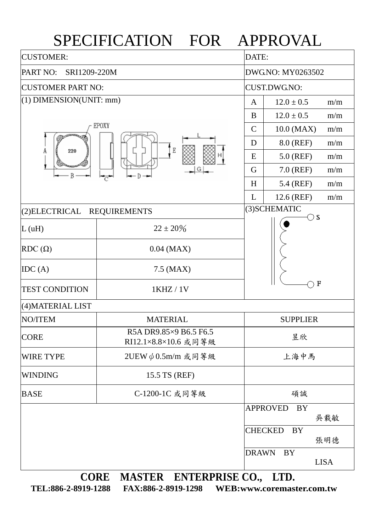## SPECIFICATION FOR APPROVAL

| <b>CUSTOMER:</b>                     |                                                                                                              | DATE:                         |                              |  |  |  |
|--------------------------------------|--------------------------------------------------------------------------------------------------------------|-------------------------------|------------------------------|--|--|--|
| PART NO:<br>SRI1209-220M             |                                                                                                              |                               | DWG.NO: MY0263502            |  |  |  |
| <b>CUSTOMER PART NO:</b>             |                                                                                                              |                               | <b>CUST.DWG.NO:</b>          |  |  |  |
| $(1)$ DIMENSION(UNIT: mm)            |                                                                                                              | $\mathbf{A}$                  | $12.0 \pm 0.5$<br>m/m        |  |  |  |
|                                      |                                                                                                              | B                             | $12.0 \pm 0.5$<br>m/m        |  |  |  |
| EPOXY                                | $\mathsf{C}$                                                                                                 | 10.0 (MAX)<br>m/m             |                              |  |  |  |
|                                      | D                                                                                                            | 8.0 (REF)<br>m/m              |                              |  |  |  |
| 220<br>A                             | E                                                                                                            | $5.0$ (REF)<br>m/m            |                              |  |  |  |
| B                                    | G                                                                                                            | 7.0 (REF)<br>m/m              |                              |  |  |  |
|                                      | H                                                                                                            | 5.4 (REF)<br>m/m              |                              |  |  |  |
|                                      |                                                                                                              | L                             | 12.6 (REF)<br>m/m            |  |  |  |
| (2)ELECTRICAL<br><b>REQUIREMENTS</b> |                                                                                                              | (3) SCHEMATIC<br>$\bigcirc$ s |                              |  |  |  |
| L(uH)                                | $22 \pm 20\%$                                                                                                |                               |                              |  |  |  |
| $RDC(\Omega)$                        | $0.04$ (MAX)                                                                                                 |                               |                              |  |  |  |
|                                      |                                                                                                              |                               |                              |  |  |  |
| IDC(A)                               | 7.5 (MAX)                                                                                                    |                               |                              |  |  |  |
| <b>TEST CONDITION</b>                | 1KHZ / 1V                                                                                                    |                               | $\mathbf F$                  |  |  |  |
| (4) MATERIAL LIST                    |                                                                                                              |                               |                              |  |  |  |
| NO/ITEM                              | <b>MATERIAL</b>                                                                                              |                               | <b>SUPPLIER</b>              |  |  |  |
| <b>CORE</b>                          | R5A DR9.85×9 B6.5 F6.5<br>RI12.1×8.8×10.6 或同等級                                                               |                               | 昱欣                           |  |  |  |
| <b>WIRE TYPE</b>                     | 2UEW $\phi$ 0.5m/m 或同等級                                                                                      |                               | 上海中馬                         |  |  |  |
| <b>WINDING</b>                       | 15.5 TS (REF)                                                                                                |                               |                              |  |  |  |
| <b>BASE</b>                          | C-1200-1C 或同等級                                                                                               | 碩誠                            |                              |  |  |  |
|                                      |                                                                                                              |                               | <b>APPROVED</b><br>BY<br>吳載敏 |  |  |  |
|                                      |                                                                                                              |                               | <b>CHECKED</b><br><b>BY</b>  |  |  |  |
|                                      |                                                                                                              |                               | 張明德                          |  |  |  |
|                                      |                                                                                                              | <b>DRAWN</b>                  | BY<br><b>LISA</b>            |  |  |  |
|                                      | $MAPED$ ENTED DECE $\Omega$<br>$\boldsymbol{\Lambda}\boldsymbol{\Lambda}\boldsymbol{\Pi}\boldsymbol{\Gamma}$ |                               | <b>TTD</b>                   |  |  |  |

**CORE MASTER ENTERPRISE CO., LTD. TEL:886-2-8919-1288 FAX:886-2-8919-1298 WEB:www.coremaster.com.tw**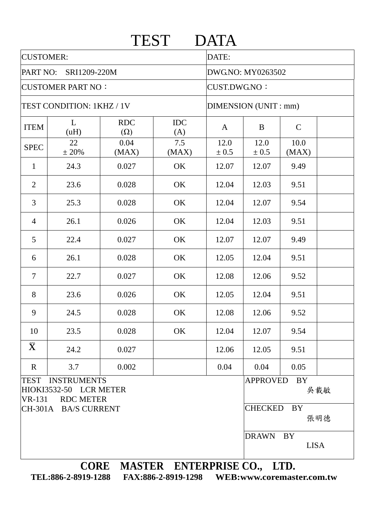| <b>CUSTOMER:</b>          |                                                                  |                          |                     | DATE:                |                                    |                   |  |  |
|---------------------------|------------------------------------------------------------------|--------------------------|---------------------|----------------------|------------------------------------|-------------------|--|--|
| PART NO: SRI1209-220M     |                                                                  |                          | DWG.NO: MY0263502   |                      |                                    |                   |  |  |
| <b>CUSTOMER PART NO:</b>  |                                                                  |                          | <b>CUST.DWG.NO:</b> |                      |                                    |                   |  |  |
| TEST CONDITION: 1KHZ / 1V |                                                                  |                          |                     | DIMENSION (UNIT: mm) |                                    |                   |  |  |
| <b>ITEM</b>               | L<br>(uH)                                                        | <b>RDC</b><br>$(\Omega)$ | <b>IDC</b><br>(A)   | $\mathbf{A}$         | B                                  | $\mathcal{C}$     |  |  |
| <b>SPEC</b>               | 22<br>$\pm$ 20%                                                  | 0.04<br>(MAX)            | 7.5<br>(MAX)        | 12.0<br>± 0.5        | 12.0<br>± 0.5                      | 10.0<br>(MAX)     |  |  |
| $\mathbf{1}$              | 24.3                                                             | 0.027                    | OK                  | 12.07                | 12.07                              | 9.49              |  |  |
| $\overline{2}$            | 23.6                                                             | 0.028                    | OK                  | 12.04                | 12.03                              | 9.51              |  |  |
| $\overline{3}$            | 25.3                                                             | 0.028                    | OK                  | 12.04                | 12.07                              | 9.54              |  |  |
| $\overline{4}$            | 26.1                                                             | 0.026                    | OK                  | 12.04                | 12.03                              | 9.51              |  |  |
| 5                         | 22.4                                                             | 0.027                    | OK                  | 12.07                | 12.07                              | 9.49              |  |  |
| 6                         | 26.1                                                             | 0.028                    | OK                  | 12.05                | 12.04                              | 9.51              |  |  |
| $\tau$                    | 22.7                                                             | 0.027                    | OK                  | 12.08                | 12.06                              | 9.52              |  |  |
| 8                         | 23.6                                                             | 0.026                    | OK                  | 12.05                | 12.04                              | 9.51              |  |  |
| 9                         | 24.5                                                             | 0.028                    | OK                  | 12.08                | 12.06                              | 9.52              |  |  |
| 10                        | 23.5                                                             | 0.028                    | <b>OK</b>           | 12.04                | 12.07                              | 9.54              |  |  |
| $\bar{\mathbf{X}}$        | 24.2                                                             | 0.027                    |                     | 12.06                | 12.05                              | 9.51              |  |  |
| $\mathbf R$               | 3.7                                                              | 0.002                    |                     | 0.04                 | 0.04                               | 0.05              |  |  |
| <b>TEST</b><br>VR-131     | <b>INSTRUMENTS</b><br>HIOKI3532-50 LCR METER<br><b>RDC METER</b> |                          |                     |                      | <b>APPROVED</b>                    | <b>BY</b><br>吳載敏  |  |  |
| CH-301A BA/S CURRENT      |                                                                  |                          |                     |                      | <b>CHECKED</b><br><b>BY</b><br>張明德 |                   |  |  |
|                           |                                                                  |                          |                     |                      | <b>DRAWN</b>                       | BY<br><b>LISA</b> |  |  |

**TEL:886-2-8919-1288 FAX:886-2-8919-1298 WEB:www.coremaster.com.tw**